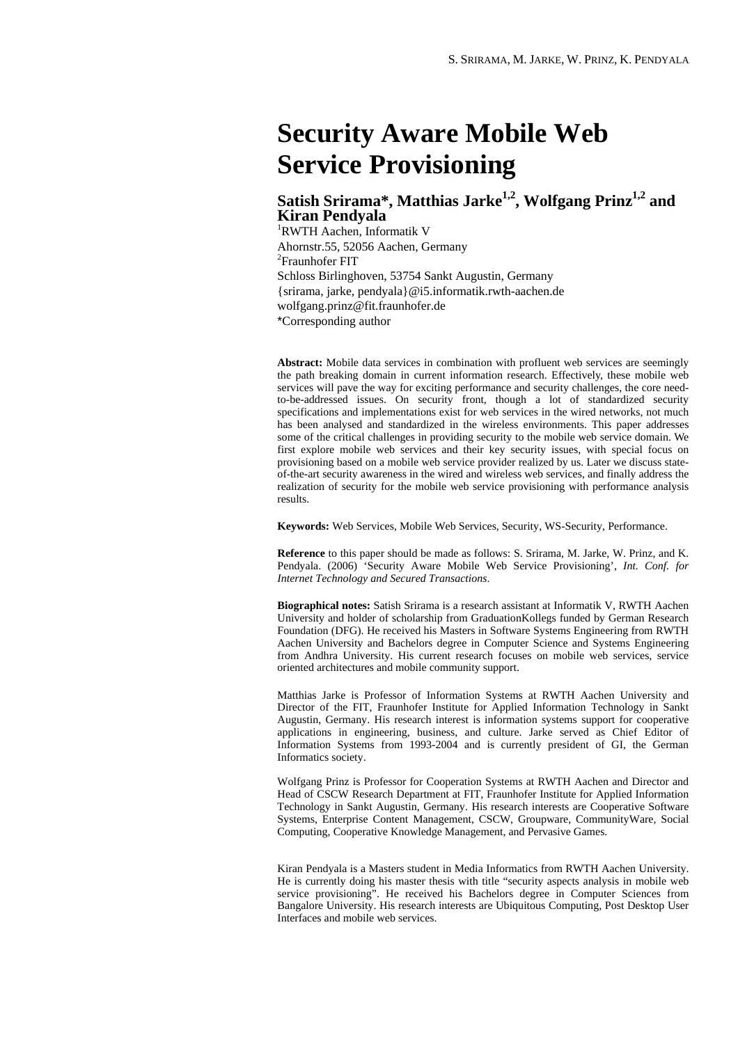# **Security Aware Mobile Web Service Provisioning**

# **Satish Srirama\*, Matthias Jarke1,2, Wolfgang Prinz1,2 and Kiran Pendyala**

1 RWTH Aachen, Informatik V Ahornstr.55, 52056 Aachen, Germany 2 Fraunhofer FIT Schloss Birlinghoven, 53754 Sankt Augustin, Germany {srirama, jarke, pendyala}@i5.informatik.rwth-aachen.de wolfgang.prinz@fit.fraunhofer.de \*Corresponding author

**Abstract:** Mobile data services in combination with profluent web services are seemingly the path breaking domain in current information research. Effectively, these mobile web services will pave the way for exciting performance and security challenges, the core needto-be-addressed issues. On security front, though a lot of standardized security specifications and implementations exist for web services in the wired networks, not much has been analysed and standardized in the wireless environments. This paper addresses some of the critical challenges in providing security to the mobile web service domain. We first explore mobile web services and their key security issues, with special focus on provisioning based on a mobile web service provider realized by us. Later we discuss stateof-the-art security awareness in the wired and wireless web services, and finally address the realization of security for the mobile web service provisioning with performance analysis results.

**Keywords:** Web Services, Mobile Web Services, Security, WS-Security, Performance.

**Reference** to this paper should be made as follows: S. [Srirama,](http://www-i5.informatik.rwth-aachen.de/lehrstuhl/publications/publications.html?author=Srirama&sort=2) M. [Jarke](http://www-i5.informatik.rwth-aachen.de/lehrstuhl/publications/publications.html?author=Jarke&sort=2), W. [Prinz](http://www-i5.informatik.rwth-aachen.de/lehrstuhl/publications/publications.html?author=Prinz&sort=2), and K. Pendyala. (2006) 'Security Aware Mobile Web Service Provisioning', *Int. Conf. for Internet Technology and Secured Transactions*.

**Biographical notes:** Satish Srirama is a research assistant at Informatik V, RWTH Aachen University and holder of scholarship from GraduationKollegs funded by German Research Foundation (DFG). He received his Masters in Software Systems Engineering from RWTH Aachen University and Bachelors degree in Computer Science and Systems Engineering from Andhra University. His current research focuses on mobile web services, service oriented architectures and mobile community support.

Matthias Jarke is Professor of Information Systems at RWTH Aachen University and Director of the FIT, Fraunhofer Institute for Applied Information Technology in Sankt Augustin, Germany. His research interest is information systems support for cooperative applications in engineering, business, and culture. Jarke served as Chief Editor of Information Systems from 1993-2004 and is currently president of GI, the German Informatics society.

Wolfgang Prinz is Professor for Cooperation Systems at RWTH Aachen and Director and Head of CSCW Research Department at FIT, Fraunhofer Institute for Applied Information Technology in Sankt Augustin, Germany. His research interests are Cooperative Software Systems, Enterprise Content Management, CSCW, Groupware, CommunityWare, Social Computing, Cooperative Knowledge Management, and Pervasive Games.

Kiran Pendyala is a Masters student in Media Informatics from RWTH Aachen University. He is currently doing his master thesis with title "security aspects analysis in mobile web service provisioning". He received his Bachelors degree in Computer Sciences from Bangalore University. His research interests are Ubiquitous Computing, Post Desktop User Interfaces and mobile web services.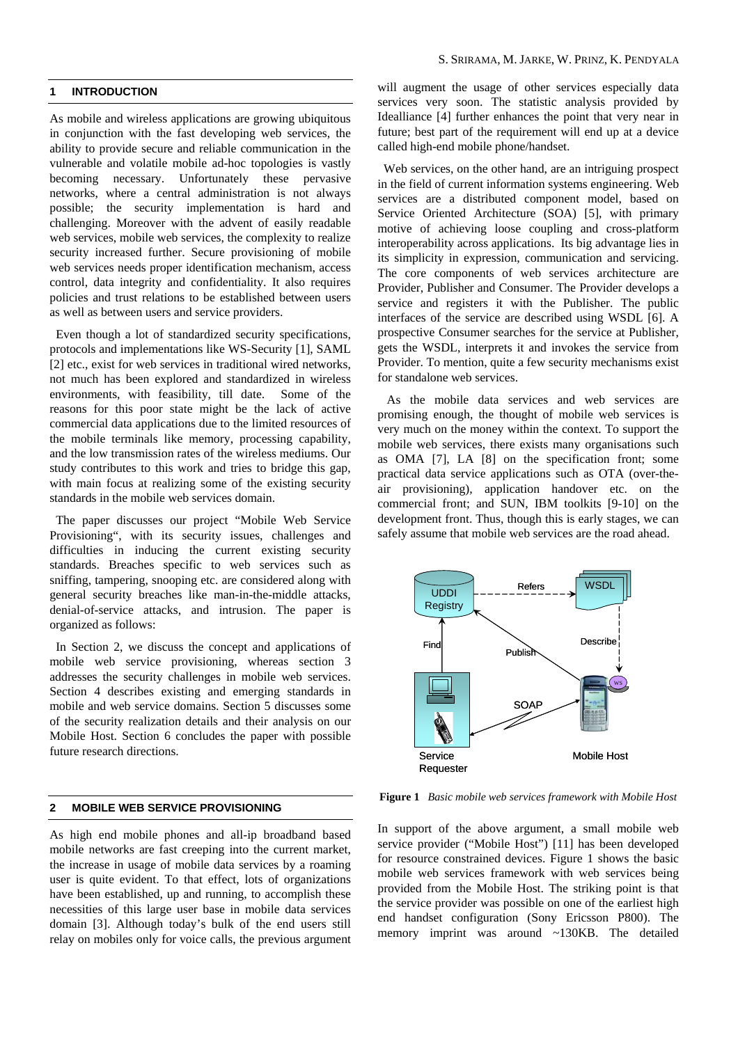# **1 INTRODUCTION**

As mobile and wireless applications are growing ubiquitous in conjunction with the fast developing web services, the ability to provide secure and reliable communication in the vulnerable and volatile mobile ad-hoc topologies is vastly becoming necessary. Unfortunately these pervasive networks, where a central administration is not always possible; the security implementation is hard and challenging. Moreover with the advent of easily readable web services, mobile web services, the complexity to realize security increased further. Secure provisioning of mobile web services needs proper identification mechanism, access control, data integrity and confidentiality. It also requires policies and trust relations to be established between users as well as between users and service providers.

Even though a lot of standardized security specifications, protocols and implementations like WS-Security [1], SAML [2] etc., exist for web services in traditional wired networks, not much has been explored and standardized in wireless environments, with feasibility, till date. Some of the reasons for this poor state might be the lack of active commercial data applications due to the limited resources of the mobile terminals like memory, processing capability, and the low transmission rates of the wireless mediums. Our study contributes to this work and tries to bridge this gap, with main focus at realizing some of the existing security standards in the mobile web services domain.

The paper discusses our project "Mobile Web Service Provisioning", with its security issues, challenges and difficulties in inducing the current existing security standards. Breaches specific to web services such as sniffing, tampering, snooping etc. are considered along with general security breaches like man-in-the-middle attacks, denial-of-service attacks, and intrusion. The paper is organized as follows:

In Section 2, we discuss the concept and applications of mobile web service provisioning, whereas section 3 addresses the security challenges in mobile web services. Section 4 describes existing and emerging standards in mobile and web service domains. Section 5 discusses some of the security realization details and their analysis on our Mobile Host. Section 6 concludes the paper with possible future research directions.

# **2 MOBILE WEB SERVICE PROVISIONING**

As high end mobile phones and all-ip broadband based mobile networks are fast creeping into the current market, the increase in usage of mobile data services by a roaming user is quite evident. To that effect, lots of organizations have been established, up and running, to accomplish these necessities of this large user base in mobile data services domain [3]. Although today's bulk of the end users still relay on mobiles only for voice calls, the previous argument will augment the usage of other services especially data services very soon. The statistic analysis provided by Idealliance [4] further enhances the point that very near in future; best part of the requirement will end up at a device called high-end mobile phone/handset.

Web services, on the other hand, are an intriguing prospect in the field of current information systems engineering. Web services are a distributed component model, based on Service Oriented Architecture (SOA) [5], with primary motive of achieving loose coupling and cross-platform interoperability across applications. Its big advantage lies in its simplicity in expression, communication and servicing. The core components of web services architecture are Provider, Publisher and Consumer. The Provider develops a service and registers it with the Publisher. The public interfaces of the service are described using WSDL [6]. A prospective Consumer searches for the service at Publisher, gets the WSDL, interprets it and invokes the service from Provider. To mention, quite a few security mechanisms exist for standalone web services.

As the mobile data services and web services are promising enough, the thought of mobile web services is very much on the money within the context. To support the mobile web services, there exists many organisations such as OMA [7], LA [8] on the specification front; some practical data service applications such as OTA (over-theair provisioning), application handover etc. on the commercial front; and SUN, IBM toolkits [9-10] on the development front. Thus, though this is early stages, we can safely assume that mobile web services are the road ahead.



**Figure 1** *Basic mobile web services framework with Mobile Host*

In support of the above argument, a small mobile web service provider ("Mobile Host") [11] has been developed for resource constrained devices. Figure 1 shows the basic mobile web services framework with web services being provided from the Mobile Host. The striking point is that the service provider was possible on one of the earliest high end handset configuration (Sony Ericsson P800). The memory imprint was around ~130KB. The detailed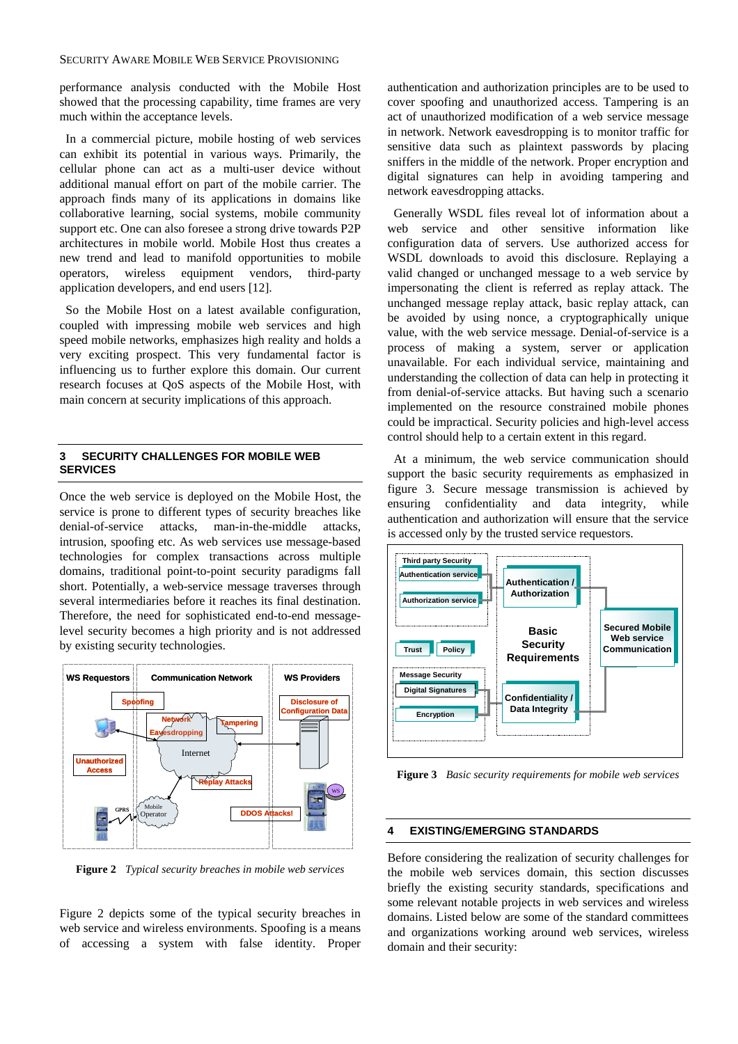#### SECURITY AWARE MOBILE WEB SERVICE PROVISIONING

performance analysis conducted with the Mobile Host showed that the processing capability, time frames are very much within the acceptance levels.

In a commercial picture, mobile hosting of web services can exhibit its potential in various ways. Primarily, the cellular phone can act as a multi-user device without additional manual effort on part of the mobile carrier. The approach finds many of its applications in domains like collaborative learning, social systems, mobile community support etc. One can also foresee a strong drive towards P2P architectures in mobile world. Mobile Host thus creates a new trend and lead to manifold opportunities to mobile operators, wireless equipment vendors, third-party application developers, and end users [12].

So the Mobile Host on a latest available configuration, coupled with impressing mobile web services and high speed mobile networks, emphasizes high reality and holds a very exciting prospect. This very fundamental factor is influencing us to further explore this domain. Our current research focuses at QoS aspects of the Mobile Host, with main concern at security implications of this approach.

# **3 SECURITY CHALLENGES FOR MOBILE WEB SERVICES**

Once the web service is deployed on the Mobile Host, the service is prone to different types of security breaches like denial-of-service attacks, man-in-the-middle attacks, intrusion, spoofing etc. As web services use message-based technologies for complex transactions across multiple domains, traditional point-to-point security paradigms fall short. Potentially, a web-service message traverses through several intermediaries before it reaches its final destination. Therefore, the need for sophisticated end-to-end messagelevel security becomes a high priority and is not addressed by existing security technologies.



**Figure 2** *Typical security breaches in mobile web services*

Figure 2 depicts some of the typical security breaches in web service and wireless environments. Spoofing is a means of accessing a system with false identity. Proper

authentication and authorization principles are to be used to cover spoofing and unauthorized access. Tampering is an act of unauthorized modification of a web service message in network. Network eavesdropping is to monitor traffic for sensitive data such as plaintext passwords by placing sniffers in the middle of the network. Proper encryption and digital signatures can help in avoiding tampering and network eavesdropping attacks.

Generally WSDL files reveal lot of information about a web service and other sensitive information like configuration data of servers. Use authorized access for WSDL downloads to avoid this disclosure. Replaying a valid changed or unchanged message to a web service by impersonating the client is referred as replay attack. The unchanged message replay attack, basic replay attack, can be avoided by using nonce, a cryptographically unique value, with the web service message. Denial-of-service is a process of making a system, server or application unavailable. For each individual service, maintaining and understanding the collection of data can help in protecting it from denial-of-service attacks. But having such a scenario implemented on the resource constrained mobile phones could be impractical. Security policies and high-level access control should help to a certain extent in this regard.

At a minimum, the web service communication should support the basic security requirements as emphasized in figure 3. Secure message transmission is achieved by ensuring confidentiality and data integrity, while authentication and authorization will ensure that the service is accessed only by the trusted service requestors.



**Figure 3** *Basic security requirements for mobile web services*

#### **4 EXISTING/EMERGING STANDARDS**

Before considering the realization of security challenges for the mobile web services domain, this section discusses briefly the existing security standards, specifications and some relevant notable projects in web services and wireless domains. Listed below are some of the standard committees and organizations working around web services, wireless domain and their security: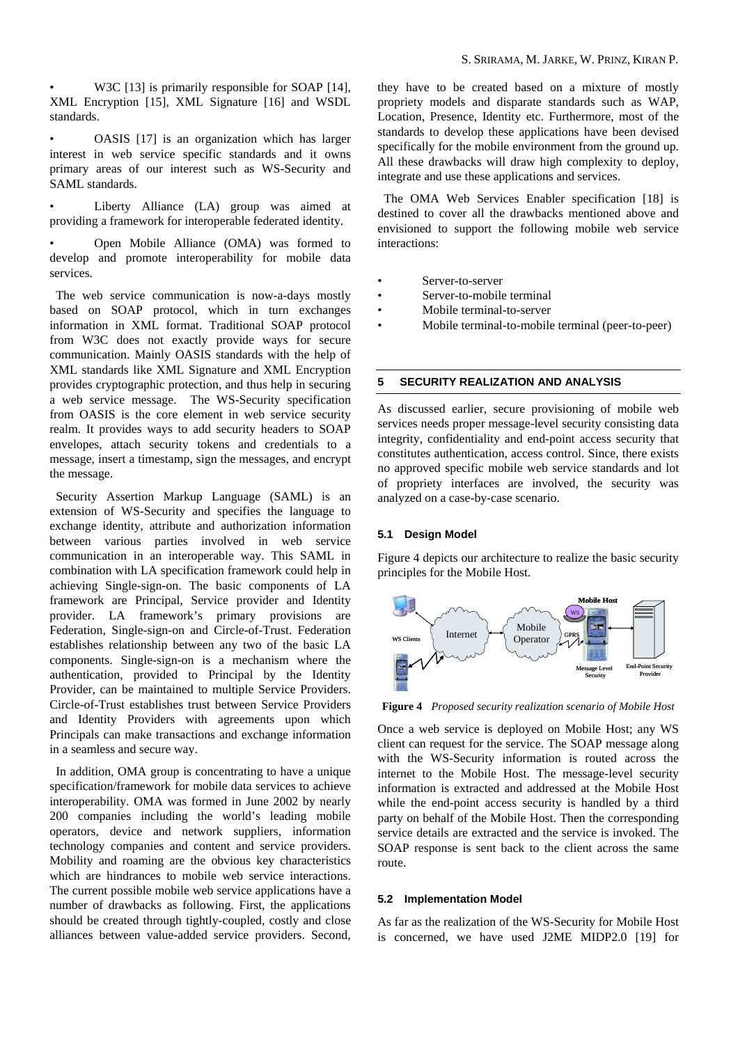W3C [13] is primarily responsible for SOAP [14], XML Encryption [15], XML Signature [16] and WSDL standards.

interest in web service specific standards and it owns primary areas of our interest such as WS-Security and • OASIS [17] is an organization which has larger SAML standards.

providing a framework for interoperable federated identity. Liberty Alliance (LA) group was aimed at

services. • Open Mobile Alliance (OMA) was formed to develop and promote interoperability for mobile data

based on SOAP protocol, which in turn exchanges The web service communication is now-a-days mostly information in XML format. Traditional SOAP protocol from W3C does not exactly provide ways for secure communication. Mainly OASIS standards with the help of XML standards like XML Signature and XML Encryption provides cryptographic protection, and thus help in securing a web service message. The WS-Security specification from OASIS is the core element in web service security realm. It provides ways to add security headers to SOAP envelopes, attach security tokens and credentials to a message, insert a timestamp, sign the messages, and encrypt the message.

extension of WS-Security and specifies the language to Security Assertion Markup Language (SAML) is an exchange identity, attribute and authorization information between various parties involved in web service communication in an interoperable way. This SAML in combination with LA specification framework could help in achieving Single-sign-on. The basic components of LA framework are Principal, Service provider and Identity provider. LA framework's primary provisions are Federation, Single-sign-on and Circle-of-Trust. Federation establishes relationship between any two of the basic LA components. Single-sign-on is a mechanism where the authentication, provided to Principal by the Identity Provider, can be maintained to multiple Service Providers. Circle-of-Trust establishes trust between Service Providers and Identity Providers with agreements upon which Principals can make transactions and exchange information in a seamless and secure way.

specification/framework for mobile data services to achieve In addition, OMA group is concentrating to have a unique interoperability. OMA was formed in June 2002 by nearly 200 companies including the world's leading mobile operators, device and network suppliers, information technology companies and content and service providers. Mobility and roaming are the obvious key characteristics which are hindrances to mobile web service interactions. The current possible mobile web service applications have a number of drawbacks as following. First, the applications should be created through tightly-coupled, costly and close alliances between value-added service providers. Second,

they have to be created based on a mixture of mostly propriety models and disparate standards such as WAP, Location, Presence, Identity etc. Furthermore, most of the standards to develop these applications have been devised specifically for the mobile environment from the ground up. All these drawbacks will draw high complexity to deploy, integrate and use these applications and services.

destined to cover all the drawbacks mentioned above and The OMA Web Services Enabler specification [18] is envisioned to support the following mobile web service interactions:

- Server-to-server
- Server-to-mobile terminal •
- Mobile terminal-to-server
- Mobile terminal-to-mobile terminal (peer-to-peer)

#### **5 SECURITY REALIZATION AND ANALYSIS**

As discussed earlier, secure provisioning of mobile web services needs proper message-level security consisting data integrity, confidentiality and end-point access security that constitutes authentication, access control. Since, there exists no approved specific mobile web service standards and lot of propriety interfaces are involved, the security was analyzed on a case-by-case scenario.

# **5.1 Design Model**

Figure 4 depicts our architecture to realize the basic security principles for the Mobile Host.



**Figure 4** *Proposed security realization scenario of Mobile Host*

O nce a web service is deployed on Mobile Host; any WS c lient can request for the service. The SOAP message along with the WS-Security information is routed across the internet to the Mobile Host. The message-level security information is extracted and addressed at the Mobile Host while the end-point access security is handled by a third party on behalf of the Mobile Host. Then the corresponding service details are extracted and the service is invoked. The SOAP response is sent back to the client across the same route.

#### **plementation Model 5.2 Im**

As far as the realization of the WS-Security for Mobile Host is concerned, we have used J2ME MIDP2.0 [19] for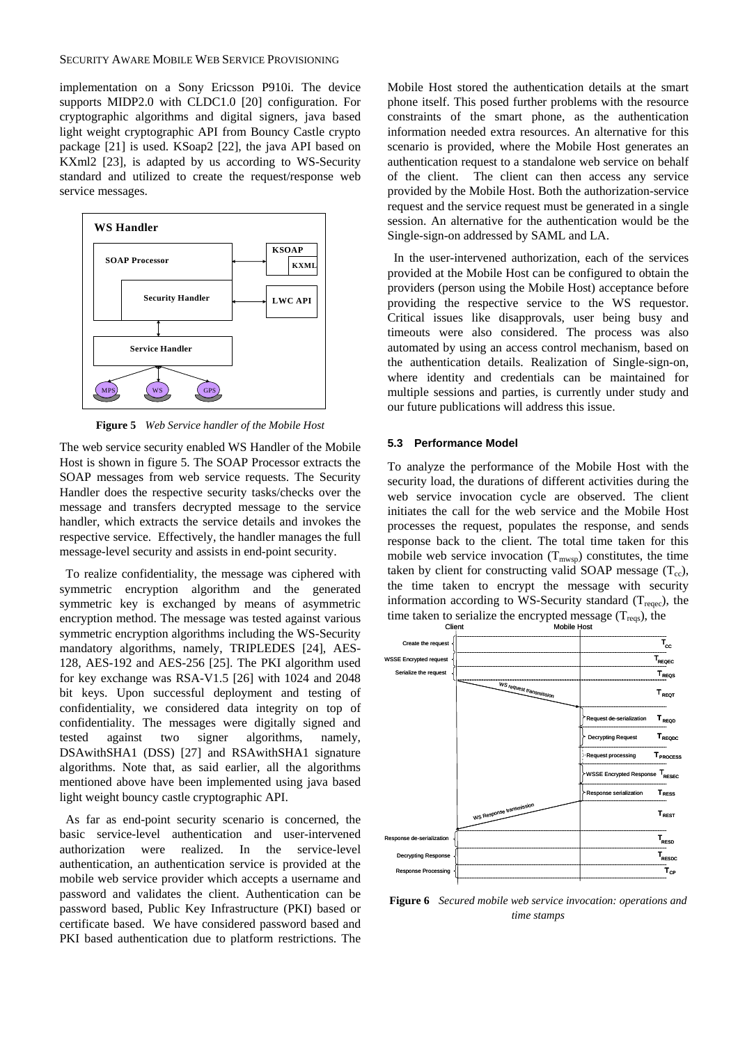implementation on a Sony Ericsson P910i. The device supports MIDP2.0 with CLDC1.0 [20] configuration. For cryptographic algorithms and digital signers, java based light weight cryptographic API from Bouncy Castle crypto package [21] is used. KSoap2 [22], the java API based on KXml2 [23], is adapted by us according to WS-Security standard and utilized to create the request/response web service messages.



**Figure 5** *Web Service handler of the Mobile Host*

The web service security enabled WS Handler of the Mobile Host is shown in figure 5. The SOAP Processor extracts the SOAP messages from web service requests. The Security Handler does the respective security tasks/checks over the message and transfers decrypted message to the service handler, which extracts the service details and invokes the respective service. Effectively, the handler manages the full message-level security and assists in end-point security.

symmetric encryption algorithm and the generated To realize confidentiality, the message was ciphered with symmetric key is exchanged by means of asymmetric encryption method. The message was tested against various symmetric encryption algorithms including the WS-Security mandatory algorithms, namely, TRIPLEDES [24], AES-128, AES-192 and AES-256 [25]. The PKI algorithm used for key exchange was RSA-V1.5 [26] with 1024 and 2048 bit keys. Upon successful deployment and testing of confidentiality, we considered data integrity on top of confidentiality. The messages were digitally signed and tested against two signer algorithms, namely, DSAwithSHA1 (DSS) [27] and RSAwithSHA1 signature algorithms. Note that, as said earlier, all the algorithms mentioned above have been implemented using java based light weight bouncy castle cryptographic API.

As far as end-point security scenario is concerned, the basic service-level authentication and user-intervened In the service-level authentication, an authentication service is provided at the mobile web service provider which accepts a username and password and validates the client. Authentication can be password based, Public Key Infrastructure (PKI) based or certificate based. We have considered password based and PKI based authentication due to platform restrictions. The authorization were realized.

phone itself. This posed further problems with the resource Mobile Host stored the authentication details at the smart constraints of the smart phone, as the authentication information needed extra resources. An alternative for this scenario is provided, where the Mobile Host generates an authentication request to a standalone web service on behalf of the client. The client can then access any service provided by the Mobile Host. Both the authorization-service request and the service request must be generated in a single session. An alternative for the authentication would be the Single-sign-on addressed by SAML and LA.

In the user-intervened authorization, each of the services provided at the Mobile Host can be configured to obtain the providers (person using the Mobile Host) acceptance before providing the respective service to the WS requestor. Critical issues like disapprovals, user being busy and timeouts were also considered. The process was also automated by using an access control mechanism, based on the authentication details. Realization of Single-sign-on, where identity and credentials can be maintained for multiple sessions and parties, is currently under study and our future publications will address this issue.

# **5.3 Performance Model**

the time taken to encrypt the message with security information according to WS-Security standard  $(T_{reaec})$ , the time taken to serialize the encrypted message  $(T_{\text{reqs}})$ , the To analyze the performance of the Mobile Host with the security load, the durations of different activities during the web service invocation cycle are observed. The client initiates the call for the web service and the Mobile Host processes the request, populates the response, and sends response back to the client. The total time taken for this mobile web service invocation  $(T_{\text{mws}})$  constitutes, the time taken by client for constructing valid SOAP message  $(T_{cc})$ ,



**Figure 6** *Secured mobile web service invocation: operations and time stamps*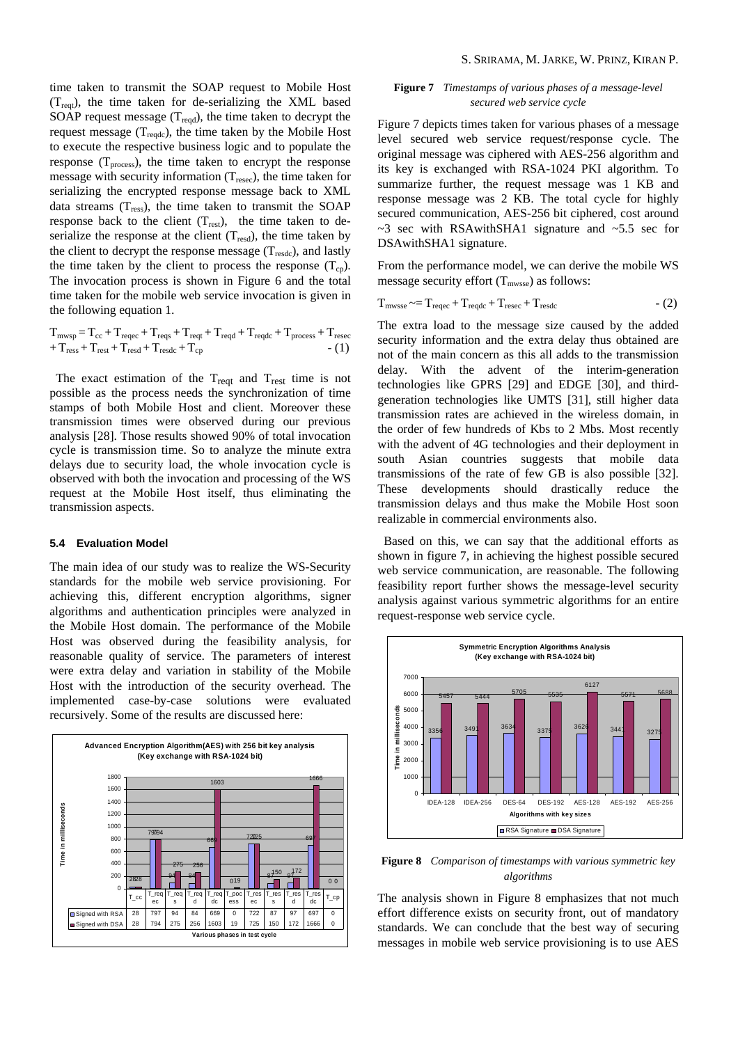time taken to transmit the SOAP request to Mobile Host  $(T_{\text{reat}})$ , the time taken for de-serializing the XML based SOAP request message  $(T_{\text{read}})$ , the time taken to decrypt the request message  $(T_{\text{readc}})$ , the time taken by the Mobile Host to execute the respective business logic and to populate the response  $(T_{process})$ , the time taken to encrypt the response message with security information  $(T_{\text{resec}})$ , the time taken for serializing the encrypted response message back to XML data streams  $(T_{\text{ress}})$ , the time taken to transmit the SOAP response back to the client  $(T_{rest})$ , the time taken to deserialize the response at the client  $(T_{\text{resd}})$ , the time taken by the client to decrypt the response message  $(T_{\text{resdc}})$ , and lastly the time taken by the client to process the response  $(T_{cn})$ . The invocation process is shown in Figure 6 and the total time taken for the mobile web service invocation is given in the following equation 1.

$$
\begin{array}{l} T_{m w s p} \hspace{-0.05cm} = T_{c c} \hspace{-0.05cm} + T_{re q c c} \hspace{-0.05cm} + T_{re q s} \hspace{-0.05cm} + T_{re q d} \hspace{-0.05cm} + T_{re q d c} \hspace{-0.05cm} + T_{process} \hspace{-0.05cm} + T_{rest} \hspace{-0.05cm} + T_{rest} \hspace{-0.05cm} + T_{rest} \hspace{-0.05cm} + T_{rest} \hspace{-0.05cm} + T_{rest} \hspace{-0.05cm} + T_{r s d} \hspace{-0.05cm} + T_{r s f c} \hspace{-0.05cm} + T_{c s f} \hspace{-0.05cm} + T_{r s f c} \hspace{-0.05cm} + T_{r s f c} \hspace{-0.05cm} + T_{r s f c} \hspace{-0.05cm} + T_{r s f} \hspace{-0.05cm} + T_{r s f} \hspace{-0.05cm} + T_{r s f} \hspace{-0.05cm} + T_{r s f} \hspace{-0.05cm} + T_{r s f} \hspace{-0.05cm} + T_{r s f} \hspace{-0.05cm} + T_{r s f} \hspace{-0.05cm} + T_{r s f} \hspace{-0.05cm} + T_{r s f} \hspace{-0.05cm} + T_{r s f} \hspace{-0.05cm} + T_{r s f} \hspace{-0.05cm} + T_{r s f} \hspace{-0.05cm} + T_{r s f} \hspace{-0.05cm} + T_{r s f} \hspace{-0.05cm} + T_{r s f} \hspace{-0.05cm} + T_{r s f} \hspace{-0.05cm} + T_{r s f} \hspace{-0.05cm} + T_{r s f} \hspace{-0.05cm} + T_{r s f} \hspace{-0.05cm} + T_{r s f} \hspace{-0.05cm} + T_{r s f} \hspace{-0.05cm} + T_{r s f} \hspace{-0.05cm} + T_{r s f} \hspace{-0.05cm} + T_{r s f} \hspace{-0.05cm} + T_{r s f} \hspace{-0.05cm} + T_{r s f} \hspace{-0.05cm} + T_{r s f} \hspace{-0
$$

The exact estimation of the  $T_{\text{reqt}}$  and  $T_{\text{rest}}$  time is not possible as the process needs the synchronization of time stamps of both Mobile Host and client. Moreover these transmission times were observed during our previous analysis [28]. Those results showed 90% of total invocation cycle is transmission time. So to analyze the minute extra delays due to security load, the whole invocation cycle is observed with both the invocation and processing of the WS request at the Mobile Host itself, thus eliminating the transmission aspects.

#### **5.4 Evaluation Model**

the Mobile Host domain. The performance of the Mobile reasonable quality of service. The parameters of interest were extra delay and variation in stability of the Mobile The main idea of our study was to realize the WS-Security standards for the mobile web service provisioning. For achieving this, different encryption algorithms, signer algorithms and authentication principles were analyzed in Host was observed during the feasibility analysis, for Host with the introduction of the security overhead. The implemented case-by-case solutions were evaluated recursively. Some of the results are discussed here:



# **Figure 7** *Timestamps of various phases of a message-level secured web service cycle*

its key is exchanged with RSA-1024 PKI algorithm. To response message was 2 KB. The total cycle for highly secured communication, AES-256 bit ciphered, cost around  $\sim$ 3 sec with RSAwithSHA1 signature and  $\sim$ 5.5 sec for DSAwithSHA1 signature. Figure 7 depicts times taken for various phases of a message level secured web service request/response cycle. The original message was ciphered with AES-256 algorithm and summarize further, the request message was 1 KB and

From the performance model, we can derive the mobile WS message security effort  $(T<sub>mwsse</sub>)$  as follows:

$$
T_{\text{mwsse}} \sim = T_{\text{reqec}} + T_{\text{reqdc}} + T_{\text{resec}} + T_{\text{resdc}} \tag{2}
$$

The extra load to the message size caused by the added security information and the extra delay thus obtained are not of the main concern as this all adds to the transmission delay. With the advent of the interim-generation technologies like GPRS [29] and EDGE [30], and thirdgeneration technologies like UMTS [31], still higher data transmission rates are achieved in the wireless domain, in the order of few hundreds of Kbs to 2 Mbs. Most recently with the advent of 4G technologies and their deployment in south Asian countries suggests that mobile data transmissions of the rate of few GB is also possible [32]. These developments should drastically reduce the transmission delays and thus make the Mobile Host soon realizable in commercial environments also.

web service communication, are reasonable. The following analysis against various symmetric algorithms for an entire request-response web service cycle. Based on this, we can say that the additional efforts as shown in figure 7, in achieving the highest possible secured feasibility report further shows the message-level security



**Figure 8** *Comparison of timestamps with various symmetric key algorithms*

messages in mobile web service provisioning is to use AES The analysis shown in Figure 8 emphasizes that not much effort difference exists on security front, out of mandatory standards. We can conclude that the best way of securing